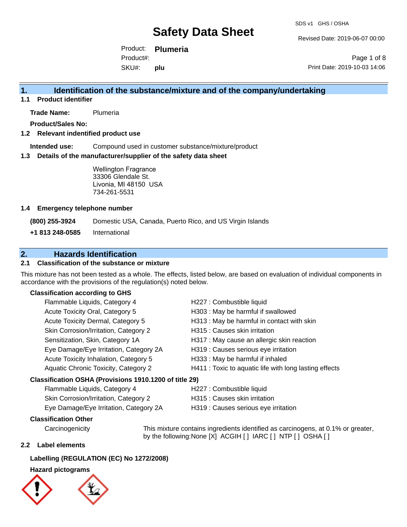Revised Date: 2019-06-07 00:00

Product: **Plumeria** SKU#: Product#: **plu**

Page 1 of 8 Print Date: 2019-10-03 14:06

### **1. Identification of the substance/mixture and of the company/undertaking**

**1.1 Product identifier**

**Trade Name:** Plumeria

**Product/Sales No:**

#### **1.2 Relevant indentified product use**

**Intended use:** Compound used in customer substance/mixture/product

#### **1.3 Details of the manufacturer/supplier of the safety data sheet**

Wellington Fragrance 33306 Glendale St. Livonia, MI 48150 USA 734-261-5531

#### **1.4 Emergency telephone number**

**(800) 255-3924** Domestic USA, Canada, Puerto Rico, and US Virgin Islands

**+1 813 248-0585** International

### **2. Hazards Identification**

#### **2.1 Classification of the substance or mixture**

This mixture has not been tested as a whole. The effects, listed below, are based on evaluation of individual components in accordance with the provisions of the regulation(s) noted below.

#### **Classification according to GHS**

| Flammable Liquids, Category 4                          | H227 : Combustible liquid                              |
|--------------------------------------------------------|--------------------------------------------------------|
| Acute Toxicity Oral, Category 5                        | H303 : May be harmful if swallowed                     |
| Acute Toxicity Dermal, Category 5                      | H313 : May be harmful in contact with skin             |
| Skin Corrosion/Irritation, Category 2                  | H315 : Causes skin irritation                          |
| Sensitization, Skin, Category 1A                       | H317 : May cause an allergic skin reaction             |
| Eye Damage/Eye Irritation, Category 2A                 | H319 : Causes serious eye irritation                   |
| Acute Toxicity Inhalation, Category 5                  | H333: May be harmful if inhaled                        |
| Aquatic Chronic Toxicity, Category 2                   | H411 : Toxic to aquatic life with long lasting effects |
| Classification OSHA (Provisions 1910.1200 of title 29) |                                                        |
| Flammable Liquids Category 4                           | H227 · Combustible liquid                              |

# Flammable Liquids, Category 4 H227 : Combustible liquid

| Skin Corrosion/Irritation, Category 2  | H315 : Causes skin irritation        |
|----------------------------------------|--------------------------------------|
| Eye Damage/Eye Irritation, Category 2A | H319 : Causes serious eye irritation |

#### **Classification Other**

Carcinogenicity This mixture contains ingredients identified as carcinogens, at 0.1% or greater, by the following:None [X] ACGIH [] IARC [] NTP [] OSHA []

#### **2.2 Label elements**

#### **Labelling (REGULATION (EC) No 1272/2008)**

#### **Hazard pictograms**



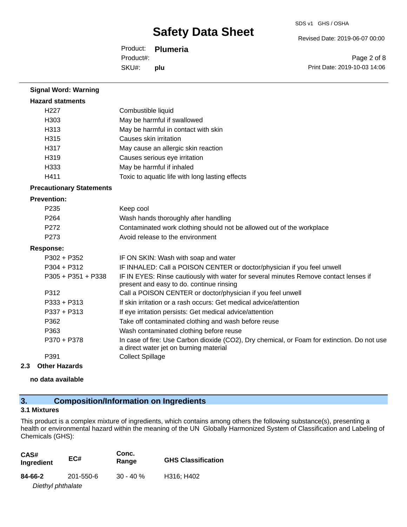Revised Date: 2019-06-07 00:00

Product: **Plumeria** SKU#: Product#: **plu**

Page 2 of 8 Print Date: 2019-10-03 14:06

| <b>Signal Word: Warning</b>     |                                                                                                                                       |
|---------------------------------|---------------------------------------------------------------------------------------------------------------------------------------|
| <b>Hazard statments</b>         |                                                                                                                                       |
| H <sub>227</sub>                | Combustible liquid                                                                                                                    |
| H303                            | May be harmful if swallowed                                                                                                           |
| H313                            | May be harmful in contact with skin                                                                                                   |
| H <sub>315</sub>                | Causes skin irritation                                                                                                                |
| H317                            | May cause an allergic skin reaction                                                                                                   |
| H319                            | Causes serious eye irritation                                                                                                         |
| H333                            | May be harmful if inhaled                                                                                                             |
| H411                            | Toxic to aquatic life with long lasting effects                                                                                       |
| <b>Precautionary Statements</b> |                                                                                                                                       |
| <b>Prevention:</b>              |                                                                                                                                       |
| P <sub>235</sub>                | Keep cool                                                                                                                             |
| P <sub>264</sub>                | Wash hands thoroughly after handling                                                                                                  |
| P272                            | Contaminated work clothing should not be allowed out of the workplace                                                                 |
| P <sub>273</sub>                | Avoid release to the environment                                                                                                      |
| <b>Response:</b>                |                                                                                                                                       |
| P302 + P352                     | IF ON SKIN: Wash with soap and water                                                                                                  |
| P304 + P312                     | IF INHALED: Call a POISON CENTER or doctor/physician if you feel unwell                                                               |
| P305 + P351 + P338              | IF IN EYES: Rinse cautiously with water for several minutes Remove contact lenses if<br>present and easy to do. continue rinsing      |
| P312                            | Call a POISON CENTER or doctor/physician if you feel unwell                                                                           |
| $P333 + P313$                   | If skin irritation or a rash occurs: Get medical advice/attention                                                                     |
| $P337 + P313$                   | If eye irritation persists: Get medical advice/attention                                                                              |
| P362                            | Take off contaminated clothing and wash before reuse                                                                                  |
| P363                            | Wash contaminated clothing before reuse                                                                                               |
| P370 + P378                     | In case of fire: Use Carbon dioxide (CO2), Dry chemical, or Foam for extinction. Do not use<br>a direct water jet on burning material |
| P391                            | <b>Collect Spillage</b>                                                                                                               |

#### **2.3 Other Hazards**

**no data available**

# **3. Composition/Information on Ingredients**

### **3.1 Mixtures**

This product is a complex mixture of ingredients, which contains among others the following substance(s), presenting a health or environmental hazard within the meaning of the UN Globally Harmonized System of Classification and Labeling of Chemicals (GHS):

| CAS#<br>Ingredient | EC#       | Conc.<br>Range | <b>GHS Classification</b> |
|--------------------|-----------|----------------|---------------------------|
| 84-66-2            | 201-550-6 | $30 - 40 \%$   | H316; H402                |
| Diethyl phthalate  |           |                |                           |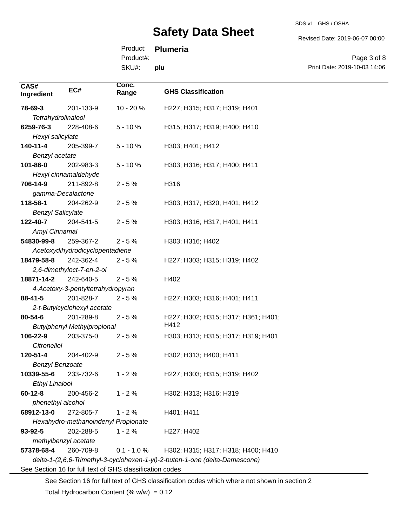SDS v1 GHS / OSHA

Revised Date: 2019-06-07 00:00

Product: **Plumeria**

Product#:

SKU#: **plu**

Page 3 of 8 Print Date: 2019-10-03 14:06

| CAS#                                                     | EC#                                                                         | Conc.         |                                     |
|----------------------------------------------------------|-----------------------------------------------------------------------------|---------------|-------------------------------------|
| Ingredient                                               |                                                                             | Range         | <b>GHS Classification</b>           |
| 78-69-3                                                  | 201-133-9                                                                   | 10 - 20 %     | H227; H315; H317; H319; H401        |
| Tetrahydrolinalool                                       |                                                                             |               |                                     |
| 6259-76-3                                                | 228-408-6                                                                   | $5 - 10%$     | H315; H317; H319; H400; H410        |
| Hexyl salicylate                                         |                                                                             |               |                                     |
| 140-11-4                                                 | 205-399-7                                                                   | $5 - 10%$     | H303; H401; H412                    |
| Benzyl acetate                                           |                                                                             |               |                                     |
| 101-86-0                                                 | 202-983-3                                                                   | $5 - 10%$     | H303; H316; H317; H400; H411        |
|                                                          | Hexyl cinnamaldehyde                                                        |               |                                     |
| 706-14-9                                                 | 211-892-8                                                                   | $2 - 5%$      | H316                                |
| gamma-Decalactone                                        |                                                                             |               |                                     |
| 118-58-1                                                 | 204-262-9                                                                   | $2 - 5%$      | H303; H317; H320; H401; H412        |
| <b>Benzyl Salicylate</b>                                 |                                                                             |               |                                     |
| 122-40-7                                                 | 204-541-5                                                                   | $2 - 5%$      | H303; H316; H317; H401; H411        |
| Amyl Cinnamal                                            |                                                                             |               |                                     |
| 54830-99-8                                               | 259-367-2                                                                   | $2 - 5%$      | H303; H316; H402                    |
|                                                          | Acetoxydihydrodicyclopentadiene                                             |               |                                     |
| 18479-58-8                                               | 242-362-4                                                                   | $2 - 5%$      | H227; H303; H315; H319; H402        |
|                                                          | 2,6-dimethyloct-7-en-2-ol                                                   |               |                                     |
| 18871-14-2                                               | 242-640-5                                                                   | $2 - 5%$      | H402                                |
|                                                          | 4-Acetoxy-3-pentyltetrahydropyran                                           |               |                                     |
| $88 - 41 - 5$                                            | 201-828-7                                                                   | $2 - 5%$      | H227; H303; H316; H401; H411        |
|                                                          | 2-t-Butylcyclohexyl acetate                                                 |               |                                     |
| 80-54-6                                                  | 201-289-8                                                                   | $2 - 5%$      | H227; H302; H315; H317; H361; H401; |
|                                                          | <b>Butylphenyl Methylpropional</b>                                          |               | H412                                |
| 106-22-9                                                 | 203-375-0                                                                   | $2 - 5%$      | H303; H313; H315; H317; H319; H401  |
| Citronellol                                              |                                                                             |               |                                     |
| 120-51-4                                                 | 204-402-9                                                                   | $2 - 5%$      | H302; H313; H400; H411              |
| <b>Benzyl Benzoate</b>                                   |                                                                             |               |                                     |
| 10339-55-6                                               | 233-732-6                                                                   | $1 - 2%$      | H227; H303; H315; H319; H402        |
| <b>Ethyl Linalool</b>                                    |                                                                             |               |                                     |
| $60 - 12 - 8$                                            | 200-456-2                                                                   | $1 - 2%$      | H302; H313; H316; H319              |
| phenethyl alcohol                                        |                                                                             |               |                                     |
| 68912-13-0                                               | 272-805-7                                                                   | $1 - 2%$      | H401; H411                          |
| Hexahydro-methanoindenyl Propionate                      |                                                                             |               |                                     |
| 93-92-5                                                  | 202-288-5                                                                   | $1 - 2%$      | H227; H402                          |
| methylbenzyl acetate                                     |                                                                             |               |                                     |
| 57378-68-4                                               | 260-709-8                                                                   | $0.1 - 1.0 %$ | H302; H315; H317; H318; H400; H410  |
|                                                          | delta-1-(2,6,6-Trimethyl-3-cyclohexen-1-yl)-2-buten-1-one (delta-Damascone) |               |                                     |
| See Section 16 for full text of GHS classification codes |                                                                             |               |                                     |

See Section 16 for full text of GHS classification codes which where not shown in section 2

Total Hydrocarbon Content (%  $w/w$ ) = 0.12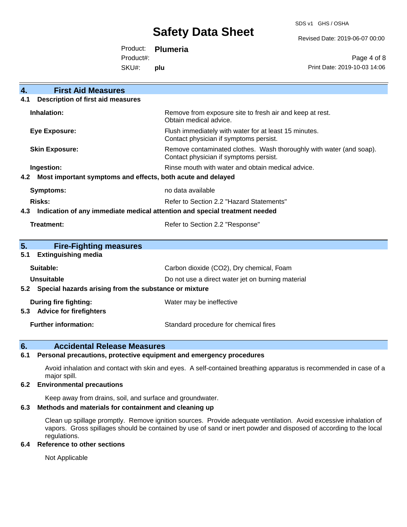SDS v1 GHS / OSHA

Revised Date: 2019-06-07 00:00

Product: **Plumeria**

Product#:

SKU#: **plu**

Page 4 of 8 Print Date: 2019-10-03 14:06

| $\overline{4}$ .<br><b>First Aid Measures</b>                                     |                                                                                                               |  |
|-----------------------------------------------------------------------------------|---------------------------------------------------------------------------------------------------------------|--|
| <b>Description of first aid measures</b><br>4.1                                   |                                                                                                               |  |
| Inhalation:                                                                       | Remove from exposure site to fresh air and keep at rest.<br>Obtain medical advice.                            |  |
| Eye Exposure:                                                                     | Flush immediately with water for at least 15 minutes.<br>Contact physician if symptoms persist.               |  |
| <b>Skin Exposure:</b>                                                             | Remove contaminated clothes. Wash thoroughly with water (and soap).<br>Contact physician if symptoms persist. |  |
| Ingestion:                                                                        | Rinse mouth with water and obtain medical advice.                                                             |  |
| Most important symptoms and effects, both acute and delayed<br>4.2                |                                                                                                               |  |
| <b>Symptoms:</b>                                                                  | no data available                                                                                             |  |
| Risks:                                                                            | Refer to Section 2.2 "Hazard Statements"                                                                      |  |
| Indication of any immediate medical attention and special treatment needed<br>4.3 |                                                                                                               |  |
| Treatment:                                                                        | Refer to Section 2.2 "Response"                                                                               |  |
|                                                                                   |                                                                                                               |  |
| 5.<br><b>Fire-Fighting measures</b>                                               |                                                                                                               |  |
| <b>Extinguishing media</b><br>5.1                                                 |                                                                                                               |  |
| Suitable:                                                                         | Carbon dioxide (CO2), Dry chemical, Foam                                                                      |  |
| Unsuitable                                                                        | Do not use a direct water jet on burning material                                                             |  |
| Special hazards arising from the substance or mixture<br>5.2                      |                                                                                                               |  |
| During fire fighting:                                                             | Water may be ineffective                                                                                      |  |
| <b>Advice for firefighters</b><br>5.3                                             |                                                                                                               |  |
| <b>Further information:</b>                                                       | Standard procedure for chemical fires                                                                         |  |

### **6. Accidental Release Measures**

#### **6.1 Personal precautions, protective equipment and emergency procedures**

Avoid inhalation and contact with skin and eyes. A self-contained breathing apparatus is recommended in case of a major spill.

#### **6.2 Environmental precautions**

Keep away from drains, soil, and surface and groundwater.

#### **6.3 Methods and materials for containment and cleaning up**

Clean up spillage promptly. Remove ignition sources. Provide adequate ventilation. Avoid excessive inhalation of vapors. Gross spillages should be contained by use of sand or inert powder and disposed of according to the local regulations.

#### **6.4 Reference to other sections**

Not Applicable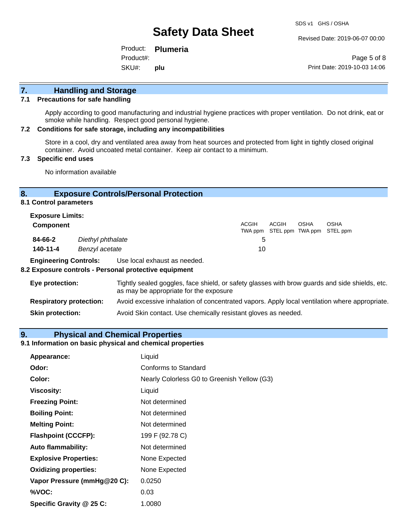Revised Date: 2019-06-07 00:00

Product: **Plumeria** SKU#: Product#: **plu**

Page 5 of 8 Print Date: 2019-10-03 14:06

# **7. Handling and Storage**

#### **7.1 Precautions for safe handling**

Apply according to good manufacturing and industrial hygiene practices with proper ventilation. Do not drink, eat or smoke while handling. Respect good personal hygiene.

#### **7.2 Conditions for safe storage, including any incompatibilities**

Store in a cool, dry and ventilated area away from heat sources and protected from light in tightly closed original container. Avoid uncoated metal container. Keep air contact to a minimum.

#### **7.3 Specific end uses**

No information available

#### **8. Exposure Controls/Personal Protection**

**8.1 Control parameters**

| <b>Exposure Limits:</b> |                   |              |       |             |                                                  |
|-------------------------|-------------------|--------------|-------|-------------|--------------------------------------------------|
| Component               |                   | <b>ACGIH</b> | ACGIH | <b>OSHA</b> | <b>OSHA</b><br>TWA ppm STEL ppm TWA ppm STEL ppm |
| 84-66-2                 | Diethyl phthalate | 5            |       |             |                                                  |
| 140-11-4                | Benzyl acetate    | 10           |       |             |                                                  |

**Engineering Controls:** Use local exhaust as needed.

#### **8.2 Exposure controls - Personal protective equipment**

| Eye protection:                | Tightly sealed goggles, face shield, or safety glasses with brow guards and side shields, etc.<br>as may be appropriate for the exposure |
|--------------------------------|------------------------------------------------------------------------------------------------------------------------------------------|
| <b>Respiratory protection:</b> | Avoid excessive inhalation of concentrated vapors. Apply local ventilation where appropriate.                                            |
| <b>Skin protection:</b>        | Avoid Skin contact. Use chemically resistant gloves as needed.                                                                           |

#### **9. Physical and Chemical Properties**

#### **9.1 Information on basic physical and chemical properties**

| Appearance:                  | Liquid                                      |
|------------------------------|---------------------------------------------|
| Odor:                        | Conforms to Standard                        |
| Color:                       | Nearly Colorless G0 to Greenish Yellow (G3) |
| <b>Viscosity:</b>            | Liquid                                      |
| <b>Freezing Point:</b>       | Not determined                              |
| <b>Boiling Point:</b>        | Not determined                              |
| <b>Melting Point:</b>        | Not determined                              |
| <b>Flashpoint (CCCFP):</b>   | 199 F (92.78 C)                             |
| <b>Auto flammability:</b>    | Not determined                              |
| <b>Explosive Properties:</b> | None Expected                               |
| <b>Oxidizing properties:</b> | None Expected                               |
| Vapor Pressure (mmHg@20 C):  | 0.0250                                      |
| %VOC:                        | 0.03                                        |
| Specific Gravity @ 25 C:     | 1.0080                                      |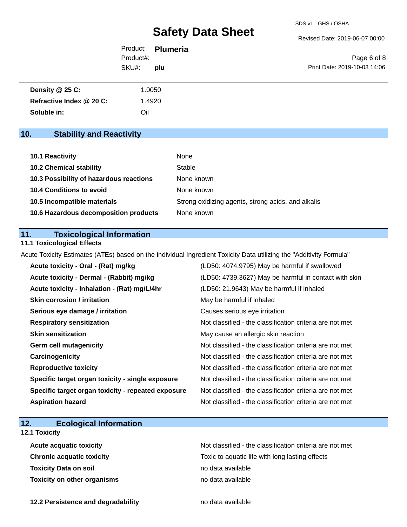Revised Date: 2019-06-07 00:00

|           | Product: <b>Plumeria</b> |                              |
|-----------|--------------------------|------------------------------|
| Product#: |                          | Page 6 of 8                  |
| SKU#:     | plu                      | Print Date: 2019-10-03 14:06 |
|           |                          |                              |

| Density @ 25 C:          | 1.0050 |
|--------------------------|--------|
| Refractive Index @ 20 C: | .4920  |
| Soluble in:              | Oil    |

# **10. Stability and Reactivity**

| <b>10.1 Reactivity</b>                  | None                                               |
|-----------------------------------------|----------------------------------------------------|
| <b>10.2 Chemical stability</b>          | Stable                                             |
| 10.3 Possibility of hazardous reactions | None known                                         |
| 10.4 Conditions to avoid                | None known                                         |
| 10.5 Incompatible materials             | Strong oxidizing agents, strong acids, and alkalis |
| 10.6 Hazardous decomposition products   | None known                                         |

#### **11. Toxicological Information**

### **11.1 Toxicological Effects**

Acute Toxicity Estimates (ATEs) based on the individual Ingredient Toxicity Data utilizing the "Additivity Formula"

| Acute toxicity - Oral - (Rat) mg/kg                | (LD50: 4074.9795) May be harmful if swallowed            |
|----------------------------------------------------|----------------------------------------------------------|
| Acute toxicity - Dermal - (Rabbit) mg/kg           | (LD50: 4739.3627) May be harmful in contact with skin    |
| Acute toxicity - Inhalation - (Rat) mg/L/4hr       | (LD50: 21.9643) May be harmful if inhaled                |
| <b>Skin corrosion / irritation</b>                 | May be harmful if inhaled                                |
| Serious eye damage / irritation                    | Causes serious eye irritation                            |
| <b>Respiratory sensitization</b>                   | Not classified - the classification criteria are not met |
| <b>Skin sensitization</b>                          | May cause an allergic skin reaction                      |
| <b>Germ cell mutagenicity</b>                      | Not classified - the classification criteria are not met |
| Carcinogenicity                                    | Not classified - the classification criteria are not met |
| <b>Reproductive toxicity</b>                       | Not classified - the classification criteria are not met |
| Specific target organ toxicity - single exposure   | Not classified - the classification criteria are not met |
| Specific target organ toxicity - repeated exposure | Not classified - the classification criteria are not met |
| <b>Aspiration hazard</b>                           | Not classified - the classification criteria are not met |

# **12. Ecological Information**

### **12.1 Toxicity**

| <b>Acute acquatic toxicity</b>     | Not classified - the classification criteria are not met |
|------------------------------------|----------------------------------------------------------|
| <b>Chronic acquatic toxicity</b>   | Toxic to aquatic life with long lasting effects          |
| <b>Toxicity Data on soil</b>       | no data available                                        |
| <b>Toxicity on other organisms</b> | no data available                                        |

**12.2 Persistence and degradability no data available**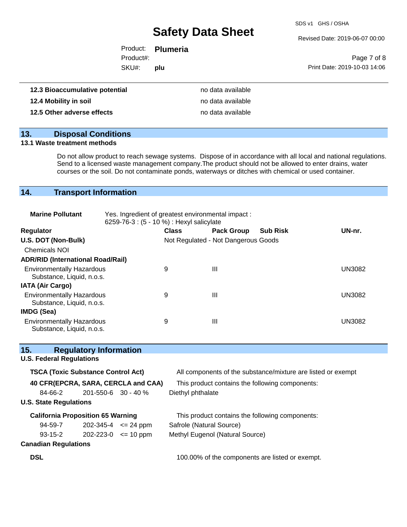SDS v1 GHS / OSHA

Revised Date: 2019-06-07 00:00

|                                | Product: <b>Plumeria</b> |                              |
|--------------------------------|--------------------------|------------------------------|
| Product#:                      |                          | Page 7 of 8                  |
| SKU#:                          | n plu                    | Print Date: 2019-10-03 14:06 |
| 12.3 Bioaccumulative potential | no data available        |                              |

| 12.4 Mobility in soil      | no data available |
|----------------------------|-------------------|
| 12.5 Other adverse effects | no data available |

### **13. Disposal Conditions**

#### **13.1 Waste treatment methods**

Do not allow product to reach sewage systems. Dispose of in accordance with all local and national regulations. Send to a licensed waste management company.The product should not be allowed to enter drains, water courses or the soil. Do not contaminate ponds, waterways or ditches with chemical or used container.

# **14. Transport Information**

| <b>Marine Pollutant</b>                                       | Yes. Ingredient of greatest environmental impact:<br>6259-76-3 : (5 - 10 %) : Hexyl salicylate |              |                                     |                 |        |
|---------------------------------------------------------------|------------------------------------------------------------------------------------------------|--------------|-------------------------------------|-----------------|--------|
| Regulator                                                     |                                                                                                | <b>Class</b> | <b>Pack Group</b>                   | <b>Sub Risk</b> | UN-nr. |
| U.S. DOT (Non-Bulk)                                           |                                                                                                |              | Not Regulated - Not Dangerous Goods |                 |        |
| <b>Chemicals NOI</b>                                          |                                                                                                |              |                                     |                 |        |
| <b>ADR/RID (International Road/Rail)</b>                      |                                                                                                |              |                                     |                 |        |
| <b>Environmentally Hazardous</b><br>Substance, Liquid, n.o.s. |                                                                                                | 9            | Ш                                   |                 | UN3082 |
| <b>IATA (Air Cargo)</b>                                       |                                                                                                |              |                                     |                 |        |
| <b>Environmentally Hazardous</b><br>Substance, Liquid, n.o.s. |                                                                                                | 9            | Ш                                   |                 | UN3082 |
| IMDG (Sea)                                                    |                                                                                                |              |                                     |                 |        |
| <b>Environmentally Hazardous</b><br>Substance, Liquid, n.o.s. |                                                                                                | 9            | Ш                                   |                 | UN3082 |

| 15.                                       | <b>Regulatory Information</b> |                                     |                                                              |
|-------------------------------------------|-------------------------------|-------------------------------------|--------------------------------------------------------------|
| <b>U.S. Federal Regulations</b>           |                               |                                     |                                                              |
| <b>TSCA (Toxic Substance Control Act)</b> |                               |                                     | All components of the substance/mixture are listed or exempt |
|                                           |                               | 40 CFR(EPCRA, SARA, CERCLA and CAA) | This product contains the following components:              |
| 84-66-2                                   | $201 - 550 - 6$ 30 - 40 %     |                                     | Diethyl phthalate                                            |
| <b>U.S. State Regulations</b>             |                               |                                     |                                                              |
| <b>California Proposition 65 Warning</b>  |                               |                                     | This product contains the following components:              |
| 94-59-7                                   |                               | $202 - 345 - 4 \le 24$ ppm          | Safrole (Natural Source)                                     |
| 93-15-2                                   | $202 - 223 - 0 \leq 10$ ppm   |                                     | Methyl Eugenol (Natural Source)                              |
| <b>Canadian Regulations</b>               |                               |                                     |                                                              |
| <b>DSL</b>                                |                               |                                     | 100.00% of the components are listed or exempt.              |